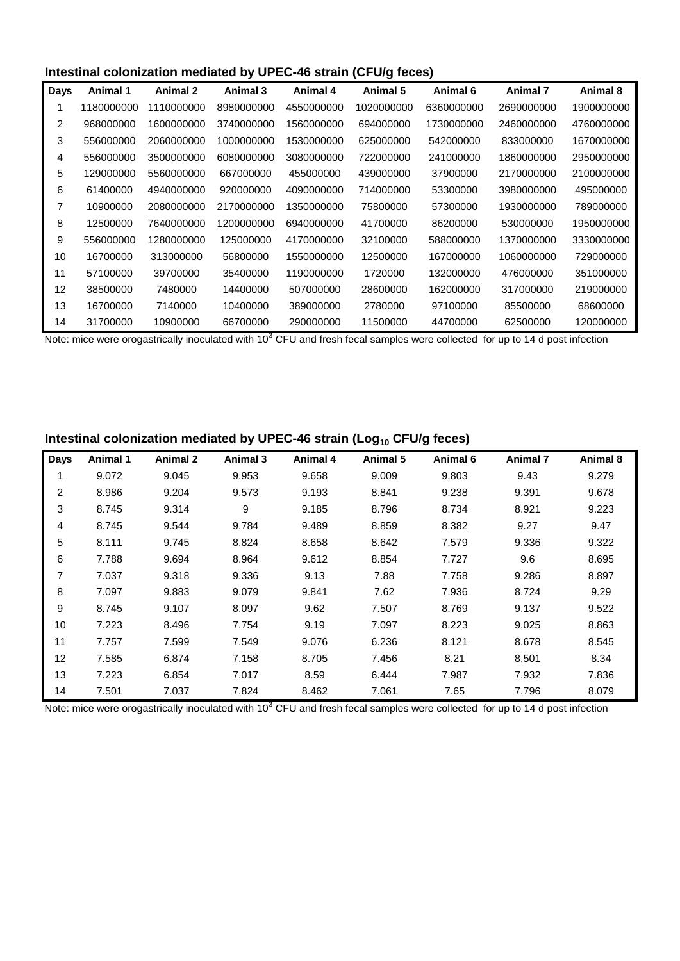### **Intestinal colonization mediated by UPEC-46 strain (CFU/g feces)**

| Days | Animal 1   | Animal 2   | Animal 3   | Animal 4   | Animal 5   | Animal 6   | <b>Animal 7</b> | Animal 8   |
|------|------------|------------|------------|------------|------------|------------|-----------------|------------|
|      | 1180000000 | 1110000000 | 8980000000 | 4550000000 | 1020000000 | 6360000000 | 2690000000      | 1900000000 |
| 2    | 968000000  | 1600000000 | 3740000000 | 1560000000 | 694000000  | 1730000000 | 2460000000      | 4760000000 |
| 3    | 556000000  | 2060000000 | 1000000000 | 1530000000 | 625000000  | 542000000  | 833000000       | 1670000000 |
| 4    | 556000000  | 3500000000 | 6080000000 | 3080000000 | 722000000  | 241000000  | 1860000000      | 2950000000 |
| 5    | 129000000  | 5560000000 | 667000000  | 455000000  | 439000000  | 37900000   | 2170000000      | 2100000000 |
| 6    | 61400000   | 4940000000 | 920000000  | 4090000000 | 714000000  | 53300000   | 3980000000      | 495000000  |
| 7    | 10900000   | 2080000000 | 2170000000 | 1350000000 | 75800000   | 57300000   | 1930000000      | 789000000  |
| 8    | 12500000   | 7640000000 | 1200000000 | 6940000000 | 41700000   | 86200000   | 530000000       | 1950000000 |
| 9    | 556000000  | 1280000000 | 125000000  | 4170000000 | 32100000   | 588000000  | 1370000000      | 3330000000 |
| 10   | 16700000   | 313000000  | 56800000   | 1550000000 | 12500000   | 167000000  | 1060000000      | 729000000  |
| 11   | 57100000   | 39700000   | 35400000   | 1190000000 | 1720000    | 132000000  | 476000000       | 351000000  |
| 12   | 38500000   | 7480000    | 14400000   | 507000000  | 28600000   | 162000000  | 317000000       | 219000000  |
| 13   | 16700000   | 7140000    | 10400000   | 389000000  | 2780000    | 97100000   | 85500000        | 68600000   |
| 14   | 31700000   | 10900000   | 66700000   | 290000000  | 11500000   | 44700000   | 62500000        | 120000000  |

Note: mice were orogastrically inoculated with 10<sup>3</sup> CFU and fresh fecal samples were collected for up to 14 d post infection

# **Intestinal colonization mediated by UPEC-46 strain (Log10 CFU/g feces)**

| <b>Days</b>    | Animal 1 | <b>Animal 2</b> | Animal 3 | Animal 4 | Animal 5 | Animal 6 | <b>Animal 7</b> | Animal 8 |
|----------------|----------|-----------------|----------|----------|----------|----------|-----------------|----------|
| 1              | 9.072    | 9.045           | 9.953    | 9.658    | 9.009    | 9.803    | 9.43            | 9.279    |
| $\overline{2}$ | 8.986    | 9.204           | 9.573    | 9.193    | 8.841    | 9.238    | 9.391           | 9.678    |
| 3              | 8.745    | 9.314           | 9        | 9.185    | 8.796    | 8.734    | 8.921           | 9.223    |
| 4              | 8.745    | 9.544           | 9.784    | 9.489    | 8.859    | 8.382    | 9.27            | 9.47     |
| 5              | 8.111    | 9.745           | 8.824    | 8.658    | 8.642    | 7.579    | 9.336           | 9.322    |
| 6              | 7.788    | 9.694           | 8.964    | 9.612    | 8.854    | 7.727    | 9.6             | 8.695    |
| 7              | 7.037    | 9.318           | 9.336    | 9.13     | 7.88     | 7.758    | 9.286           | 8.897    |
| 8              | 7.097    | 9.883           | 9.079    | 9.841    | 7.62     | 7.936    | 8.724           | 9.29     |
| 9              | 8.745    | 9.107           | 8.097    | 9.62     | 7.507    | 8.769    | 9.137           | 9.522    |
| 10             | 7.223    | 8.496           | 7.754    | 9.19     | 7.097    | 8.223    | 9.025           | 8.863    |
| 11             | 7.757    | 7.599           | 7.549    | 9.076    | 6.236    | 8.121    | 8.678           | 8.545    |
| 12             | 7.585    | 6.874           | 7.158    | 8.705    | 7.456    | 8.21     | 8.501           | 8.34     |
| 13             | 7.223    | 6.854           | 7.017    | 8.59     | 6.444    | 7.987    | 7.932           | 7.836    |
| 14             | 7.501    | 7.037           | 7.824    | 8.462    | 7.061    | 7.65     | 7.796           | 8.079    |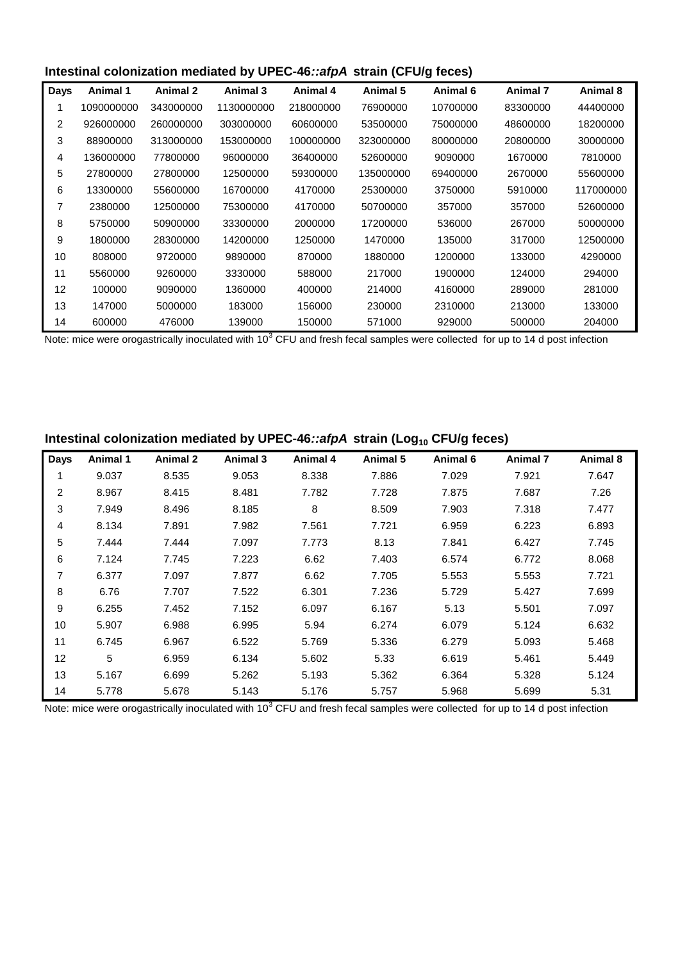### **Intestinal colonization mediated by UPEC-46***::afpA* **strain (CFU/g feces)**

| <b>Days</b> | Animal 1   | <b>Animal 2</b> | Animal 3   | Animal 4  | Animal 5  | Animal 6 | Animal 7 | Animal 8  |
|-------------|------------|-----------------|------------|-----------|-----------|----------|----------|-----------|
|             | 1090000000 | 343000000       | 1130000000 | 218000000 | 76900000  | 10700000 | 83300000 | 44400000  |
| 2           | 926000000  | 260000000       | 303000000  | 60600000  | 53500000  | 75000000 | 48600000 | 18200000  |
| 3           | 88900000   | 313000000       | 153000000  | 100000000 | 323000000 | 80000000 | 20800000 | 30000000  |
| 4           | 136000000  | 77800000        | 96000000   | 36400000  | 52600000  | 9090000  | 1670000  | 7810000   |
| 5           | 27800000   | 27800000        | 12500000   | 59300000  | 135000000 | 69400000 | 2670000  | 55600000  |
| 6           | 13300000   | 55600000        | 16700000   | 4170000   | 25300000  | 3750000  | 5910000  | 117000000 |
|             | 2380000    | 12500000        | 75300000   | 4170000   | 50700000  | 357000   | 357000   | 52600000  |
| 8           | 5750000    | 50900000        | 33300000   | 2000000   | 17200000  | 536000   | 267000   | 50000000  |
| 9           | 1800000    | 28300000        | 14200000   | 1250000   | 1470000   | 135000   | 317000   | 12500000  |
| 10          | 808000     | 9720000         | 9890000    | 870000    | 1880000   | 1200000  | 133000   | 4290000   |
| 11          | 5560000    | 9260000         | 3330000    | 588000    | 217000    | 1900000  | 124000   | 294000    |
| 12          | 100000     | 9090000         | 1360000    | 400000    | 214000    | 4160000  | 289000   | 281000    |
| 13          | 147000     | 5000000         | 183000     | 156000    | 230000    | 2310000  | 213000   | 133000    |
| 14          | 600000     | 476000          | 139000     | 150000    | 571000    | 929000   | 500000   | 204000    |

Note: mice were orogastrically inoculated with 10<sup>3</sup> CFU and fresh fecal samples were collected for up to 14 d post infection

## Intestinal colonization mediated by UPEC-46::afpA strain (Log<sub>10</sub> CFU/g feces)

| <b>Days</b> | <b>Animal 1</b> | <b>Animal 2</b> | Animal 3 | <b>Animal 4</b> | Animal 5 | Animal 6 | <b>Animal 7</b> | Animal 8 |
|-------------|-----------------|-----------------|----------|-----------------|----------|----------|-----------------|----------|
| 1           | 9.037           | 8.535           | 9.053    | 8.338           | 7.886    | 7.029    | 7.921           | 7.647    |
| 2           | 8.967           | 8.415           | 8.481    | 7.782           | 7.728    | 7.875    | 7.687           | 7.26     |
| 3           | 7.949           | 8.496           | 8.185    | 8               | 8.509    | 7.903    | 7.318           | 7.477    |
| 4           | 8.134           | 7.891           | 7.982    | 7.561           | 7.721    | 6.959    | 6.223           | 6.893    |
| 5           | 7.444           | 7.444           | 7.097    | 7.773           | 8.13     | 7.841    | 6.427           | 7.745    |
| 6           | 7.124           | 7.745           | 7.223    | 6.62            | 7.403    | 6.574    | 6.772           | 8.068    |
| 7           | 6.377           | 7.097           | 7.877    | 6.62            | 7.705    | 5.553    | 5.553           | 7.721    |
| 8           | 6.76            | 7.707           | 7.522    | 6.301           | 7.236    | 5.729    | 5.427           | 7.699    |
| 9           | 6.255           | 7.452           | 7.152    | 6.097           | 6.167    | 5.13     | 5.501           | 7.097    |
| 10          | 5.907           | 6.988           | 6.995    | 5.94            | 6.274    | 6.079    | 5.124           | 6.632    |
| 11          | 6.745           | 6.967           | 6.522    | 5.769           | 5.336    | 6.279    | 5.093           | 5.468    |
| 12          | 5               | 6.959           | 6.134    | 5.602           | 5.33     | 6.619    | 5.461           | 5.449    |
| 13          | 5.167           | 6.699           | 5.262    | 5.193           | 5.362    | 6.364    | 5.328           | 5.124    |
| 14          | 5.778           | 5.678           | 5.143    | 5.176           | 5.757    | 5.968    | 5.699           | 5.31     |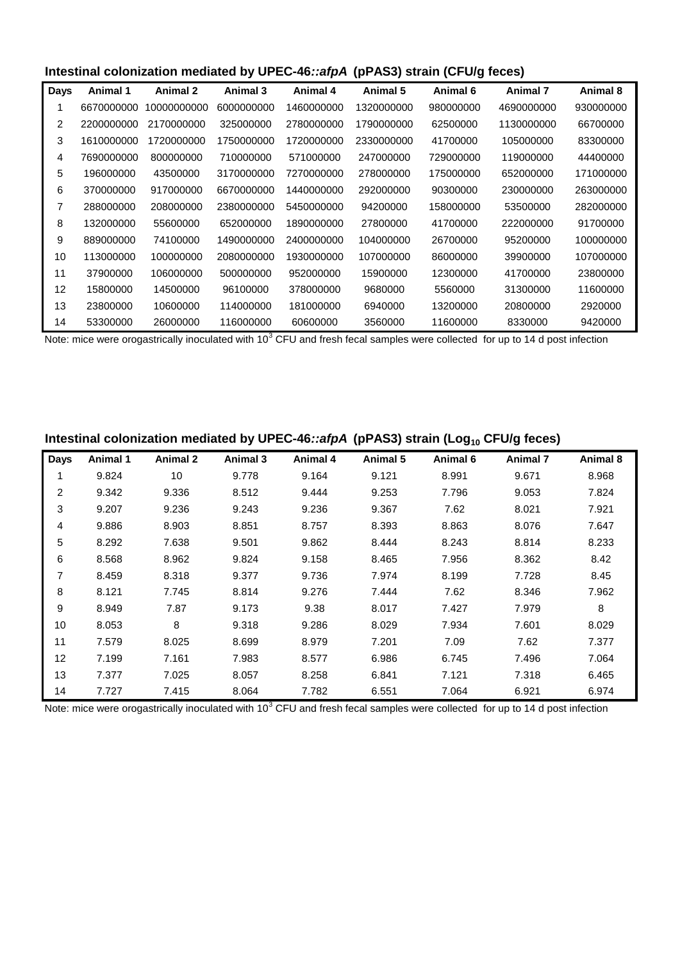#### **Intestinal colonization mediated by UPEC-46***::afpA* **(pPAS3) strain (CFU/g feces)**

| Days | Animal 1   | Animal 2    | Animal 3   | Animal 4   | Animal 5   | Animal 6  | Animal 7   | Animal 8  |
|------|------------|-------------|------------|------------|------------|-----------|------------|-----------|
|      | 6670000000 | 10000000000 | 6000000000 | 1460000000 | 1320000000 | 980000000 | 4690000000 | 930000000 |
| 2    | 2200000000 | 2170000000  | 325000000  | 2780000000 | 1790000000 | 62500000  | 1130000000 | 66700000  |
| 3    | 1610000000 | 1720000000  | 1750000000 | 1720000000 | 2330000000 | 41700000  | 105000000  | 83300000  |
| 4    | 7690000000 | 800000000   | 710000000  | 571000000  | 247000000  | 729000000 | 119000000  | 44400000  |
| 5    | 196000000  | 43500000    | 3170000000 | 7270000000 | 278000000  | 175000000 | 652000000  | 171000000 |
| 6    | 370000000  | 917000000   | 6670000000 | 1440000000 | 292000000  | 90300000  | 230000000  | 263000000 |
| 7    | 288000000  | 208000000   | 2380000000 | 5450000000 | 94200000   | 158000000 | 53500000   | 282000000 |
| 8    | 132000000  | 55600000    | 652000000  | 1890000000 | 27800000   | 41700000  | 222000000  | 91700000  |
| 9    | 889000000  | 74100000    | 1490000000 | 2400000000 | 104000000  | 26700000  | 95200000   | 100000000 |
| 10   | 113000000  | 100000000   | 2080000000 | 1930000000 | 107000000  | 86000000  | 39900000   | 107000000 |
| 11   | 37900000   | 106000000   | 500000000  | 952000000  | 15900000   | 12300000  | 41700000   | 23800000  |
| 12   | 15800000   | 14500000    | 96100000   | 378000000  | 9680000    | 5560000   | 31300000   | 11600000  |
| 13   | 23800000   | 10600000    | 114000000  | 181000000  | 6940000    | 13200000  | 20800000   | 2920000   |
| 14   | 53300000   | 26000000    | 116000000  | 60600000   | 3560000    | 11600000  | 8330000    | 9420000   |

Note: mice were orogastrically inoculated with 10<sup>3</sup> CFU and fresh fecal samples were collected for up to 14 d post infection

#### Intestinal colonization mediated by UPEC-46::afpA (pPAS3) strain (Log<sub>10</sub> CFU/g feces)

| <b>Days</b>    | Animal 1 | <b>Animal 2</b> | Animal 3 | Animal 4 | Animal 5 | Animal 6 | <b>Animal 7</b> | Animal 8 |
|----------------|----------|-----------------|----------|----------|----------|----------|-----------------|----------|
|                | 9.824    | 10              | 9.778    | 9.164    | 9.121    | 8.991    | 9.671           | 8.968    |
| $\overline{c}$ | 9.342    | 9.336           | 8.512    | 9.444    | 9.253    | 7.796    | 9.053           | 7.824    |
| 3              | 9.207    | 9.236           | 9.243    | 9.236    | 9.367    | 7.62     | 8.021           | 7.921    |
| 4              | 9.886    | 8.903           | 8.851    | 8.757    | 8.393    | 8.863    | 8.076           | 7.647    |
| 5              | 8.292    | 7.638           | 9.501    | 9.862    | 8.444    | 8.243    | 8.814           | 8.233    |
| 6              | 8.568    | 8.962           | 9.824    | 9.158    | 8.465    | 7.956    | 8.362           | 8.42     |
| 7              | 8.459    | 8.318           | 9.377    | 9.736    | 7.974    | 8.199    | 7.728           | 8.45     |
| 8              | 8.121    | 7.745           | 8.814    | 9.276    | 7.444    | 7.62     | 8.346           | 7.962    |
| 9              | 8.949    | 7.87            | 9.173    | 9.38     | 8.017    | 7.427    | 7.979           | 8        |
| 10             | 8.053    | 8               | 9.318    | 9.286    | 8.029    | 7.934    | 7.601           | 8.029    |
| 11             | 7.579    | 8.025           | 8.699    | 8.979    | 7.201    | 7.09     | 7.62            | 7.377    |
| 12             | 7.199    | 7.161           | 7.983    | 8.577    | 6.986    | 6.745    | 7.496           | 7.064    |
| 13             | 7.377    | 7.025           | 8.057    | 8.258    | 6.841    | 7.121    | 7.318           | 6.465    |
| 14             | 7.727    | 7.415           | 8.064    | 7.782    | 6.551    | 7.064    | 6.921           | 6.974    |